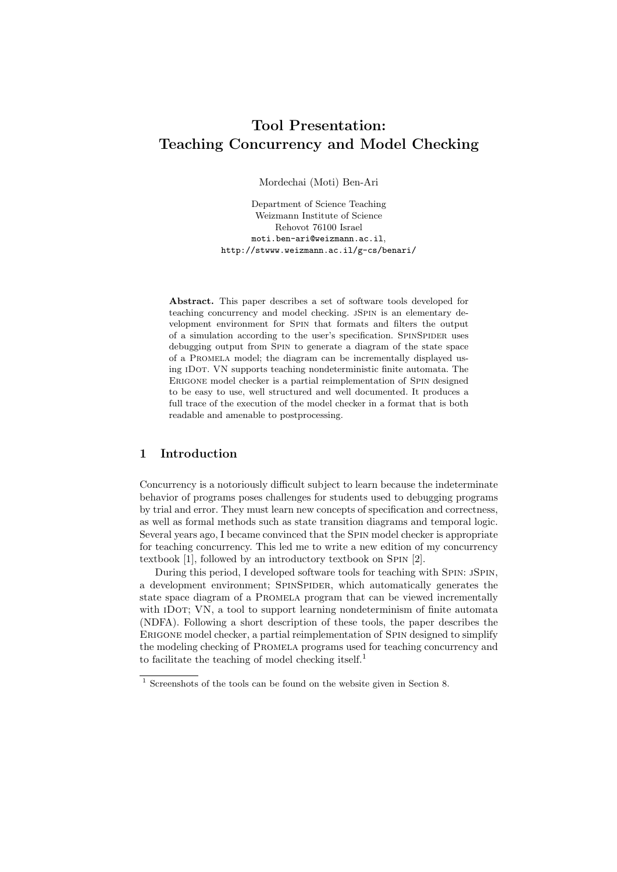# Tool Presentation: Teaching Concurrency and Model Checking

Mordechai (Moti) Ben-Ari

Department of Science Teaching Weizmann Institute of Science Rehovot 76100 Israel moti.ben-ari@weizmann.ac.il, http://stwww.weizmann.ac.il/g-cs/benari/

Abstract. This paper describes a set of software tools developed for teaching concurrency and model checking. JSPIN is an elementary development environment for Spin that formats and filters the output of a simulation according to the user's specification. SPINSPIDER uses debugging output from Spin to generate a diagram of the state space of a Promela model; the diagram can be incrementally displayed using iDot. VN supports teaching nondeterministic finite automata. The ERIGONE model checker is a partial reimplementation of SPIN designed to be easy to use, well structured and well documented. It produces a full trace of the execution of the model checker in a format that is both readable and amenable to postprocessing.

## 1 Introduction

Concurrency is a notoriously difficult subject to learn because the indeterminate behavior of programs poses challenges for students used to debugging programs by trial and error. They must learn new concepts of specification and correctness, as well as formal methods such as state transition diagrams and temporal logic. Several years ago, I became convinced that the Spin model checker is appropriate for teaching concurrency. This led me to write a new edition of my concurrency textbook [1], followed by an introductory textbook on SPIN [2].

During this period, I developed software tools for teaching with Spin: jSpin, a development environment; SPINSPIDER, which automatically generates the state space diagram of a PROMELA program that can be viewed incrementally with IDOT; VN, a tool to support learning nondeterminism of finite automata (NDFA). Following a short description of these tools, the paper describes the Erigone model checker, a partial reimplementation of Spin designed to simplify the modeling checking of Promela programs used for teaching concurrency and to facilitate the teaching of model checking itself.<sup>1</sup>

<sup>1</sup> Screenshots of the tools can be found on the website given in Section 8.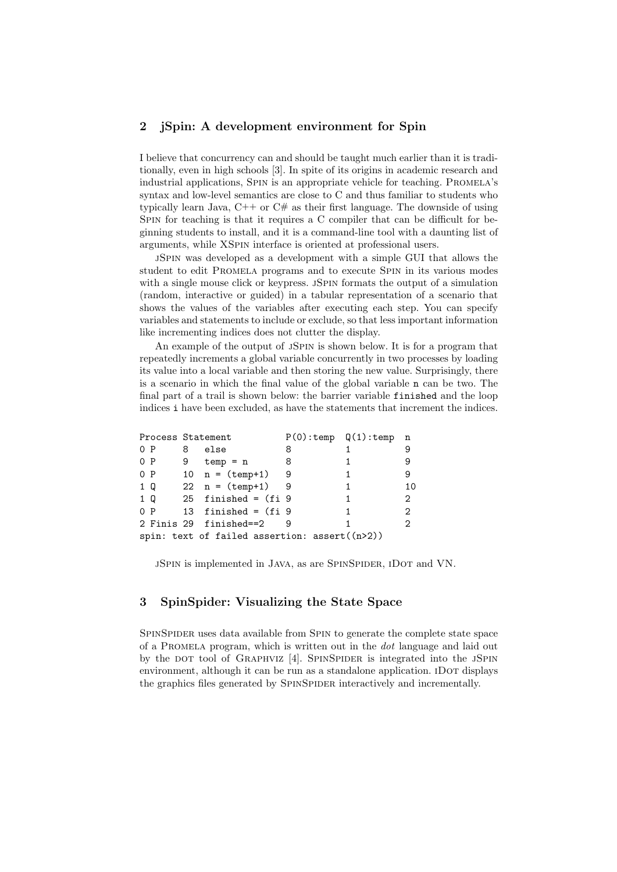## 2 jSpin: A development environment for Spin

I believe that concurrency can and should be taught much earlier than it is traditionally, even in high schools [3]. In spite of its origins in academic research and industrial applications, SPIN is an appropriate vehicle for teaching. PROMELA's syntax and low-level semantics are close to C and thus familiar to students who typically learn Java, C++ or C# as their first language. The downside of using Spin for teaching is that it requires a C compiler that can be difficult for beginning students to install, and it is a command-line tool with a daunting list of arguments, while XSpin interface is oriented at professional users.

jSpin was developed as a development with a simple GUI that allows the student to edit Promela programs and to execute Spin in its various modes with a single mouse click or keypress. JSPIN formats the output of a simulation (random, interactive or guided) in a tabular representation of a scenario that shows the values of the variables after executing each step. You can specify variables and statements to include or exclude, so that less important information like incrementing indices does not clutter the display.

An example of the output of JSPIN is shown below. It is for a program that repeatedly increments a global variable concurrently in two processes by loading its value into a local variable and then storing the new value. Surprisingly, there is a scenario in which the final value of the global variable n can be two. The final part of a trail is shown below: the barrier variable finished and the loop indices i have been excluded, as have the statements that increment the indices.

|     |  | Process Statement |                                                 |   | P(0):temp Q(1):temp | n                           |
|-----|--|-------------------|-------------------------------------------------|---|---------------------|-----------------------------|
| 0 P |  | 8                 | else                                            | 8 |                     | 9                           |
| 0 P |  |                   | $9$ temp = n                                    | 8 |                     | 9                           |
| 0 P |  |                   | 10 $n = (temp+1)$ 9                             |   | 1                   | 9                           |
| 1 Q |  |                   | 22 $n = (temp+1)$ 9                             |   | 1                   | 10                          |
| 1 Q |  |                   | 25 finished = $(fi)$ 9                          |   | 1                   | 2                           |
| 0 P |  |                   | 13 finished = $(fi 9)$                          |   |                     | 2                           |
|     |  |                   | 2 Finis 29 finished==2                          |   |                     | $\mathcal{D}_{\mathcal{L}}$ |
|     |  |                   | spin: text of failed assertion: $assert((n>2))$ |   |                     |                             |

jSpin is implemented in Java, as are SpinSpider, iDot and VN.

## 3 SpinSpider: Visualizing the State Space

SpinSpider uses data available from Spin to generate the complete state space of a Promela program, which is written out in the dot language and laid out by the DOT tool of GRAPHVIZ [4]. SPINSPIDER is integrated into the JSPIN environment, although it can be run as a standalone application. IDOT displays the graphics files generated by SPINSPIDER interactively and incrementally.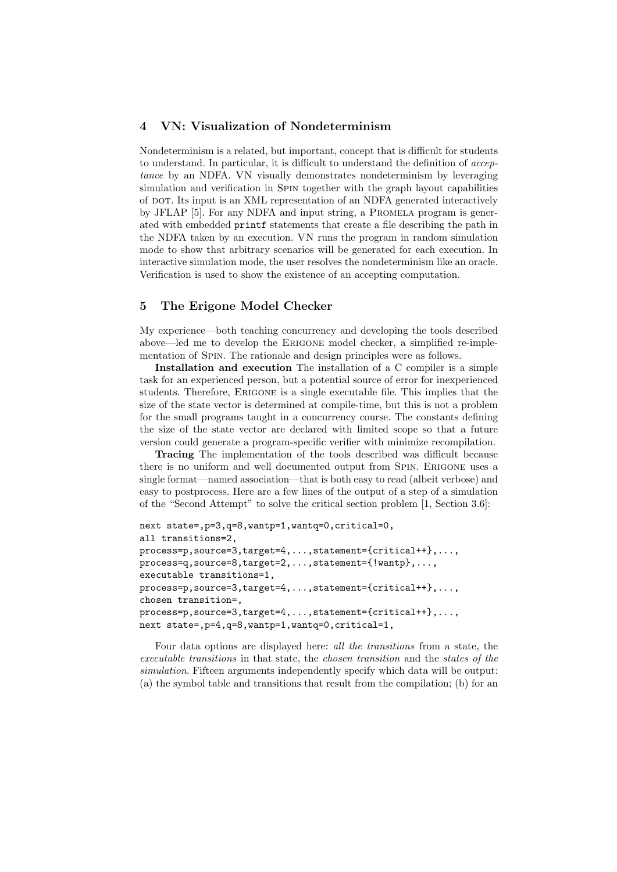## 4 VN: Visualization of Nondeterminism

Nondeterminism is a related, but important, concept that is difficult for students to understand. In particular, it is difficult to understand the definition of acceptance by an NDFA. VN visually demonstrates nondeterminism by leveraging simulation and verification in Spin together with the graph layout capabilities of dot. Its input is an XML representation of an NDFA generated interactively by JFLAP [5]. For any NDFA and input string, a Promela program is generated with embedded printf statements that create a file describing the path in the NDFA taken by an execution. VN runs the program in random simulation mode to show that arbitrary scenarios will be generated for each execution. In interactive simulation mode, the user resolves the nondeterminism like an oracle. Verification is used to show the existence of an accepting computation.

## 5 The Erigone Model Checker

My experience—both teaching concurrency and developing the tools described above—led me to develop the Erigone model checker, a simplified re-implementation of Spin. The rationale and design principles were as follows.

Installation and execution The installation of a C compiler is a simple task for an experienced person, but a potential source of error for inexperienced students. Therefore, Erigone is a single executable file. This implies that the size of the state vector is determined at compile-time, but this is not a problem for the small programs taught in a concurrency course. The constants defining the size of the state vector are declared with limited scope so that a future version could generate a program-specific verifier with minimize recompilation.

Tracing The implementation of the tools described was difficult because there is no uniform and well documented output from Spin. Erigone uses a single format—named association—that is both easy to read (albeit verbose) and easy to postprocess. Here are a few lines of the output of a step of a simulation of the "Second Attempt" to solve the critical section problem [1, Section 3.6]:

```
next state=,p=3,q=8,wantp=1,wantq=0,critical=0,
all transitions=2,
process=p,source=3,target=4,...,statement={critical++},...,
process=q,source=8,target=2,...,statement={!wantp},...,
executable transitions=1,
process=p,source=3,target=4,...,statement={critical++},...,
chosen transition=,
process=p,source=3,target=4,...,statement={critical++},...,
next state=,p=4,q=8,wantp=1,wantq=0,critical=1,
```
Four data options are displayed here: all the transitions from a state, the executable transitions in that state, the chosen transition and the states of the simulation. Fifteen arguments independently specify which data will be output: (a) the symbol table and transitions that result from the compilation; (b) for an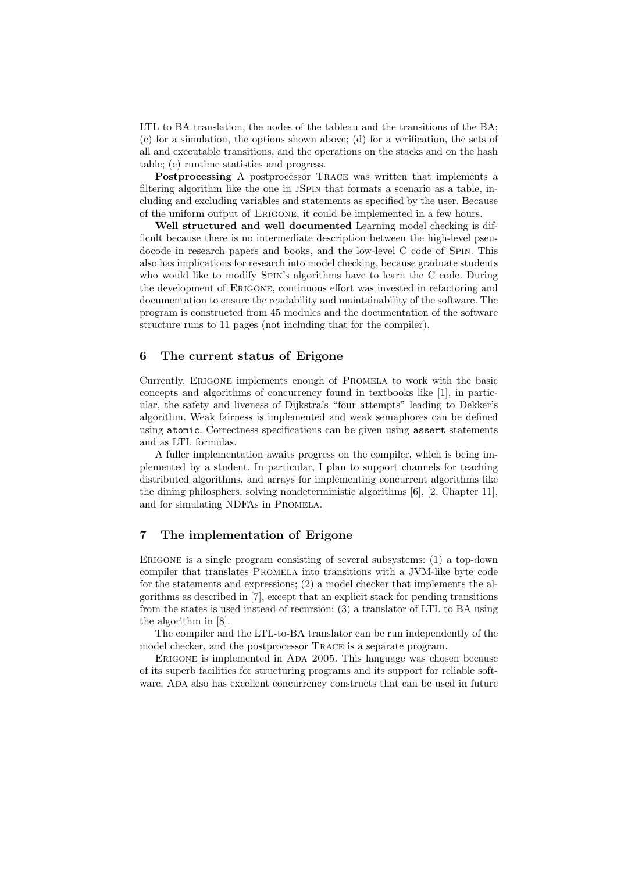LTL to BA translation, the nodes of the tableau and the transitions of the BA; (c) for a simulation, the options shown above; (d) for a verification, the sets of all and executable transitions, and the operations on the stacks and on the hash table; (e) runtime statistics and progress.

Postprocessing A postprocessor Trace was written that implements a filtering algorithm like the one in JSPIN that formats a scenario as a table, including and excluding variables and statements as specified by the user. Because of the uniform output of Erigone, it could be implemented in a few hours.

Well structured and well documented Learning model checking is difficult because there is no intermediate description between the high-level pseudocode in research papers and books, and the low-level C code of Spin. This also has implications for research into model checking, because graduate students who would like to modify Spin's algorithms have to learn the C code. During the development of Erigone, continuous effort was invested in refactoring and documentation to ensure the readability and maintainability of the software. The program is constructed from 45 modules and the documentation of the software structure runs to 11 pages (not including that for the compiler).

## 6 The current status of Erigone

Currently, Erigone implements enough of Promela to work with the basic concepts and algorithms of concurrency found in textbooks like [1], in particular, the safety and liveness of Dijkstra's "four attempts" leading to Dekker's algorithm. Weak fairness is implemented and weak semaphores can be defined using atomic. Correctness specifications can be given using assert statements and as LTL formulas.

A fuller implementation awaits progress on the compiler, which is being implemented by a student. In particular, I plan to support channels for teaching distributed algorithms, and arrays for implementing concurrent algorithms like the dining philosphers, solving nondeterministic algorithms [6], [2, Chapter 11], and for simulating NDFAs in Promela.

## 7 The implementation of Erigone

Erigone is a single program consisting of several subsystems: (1) a top-down compiler that translates Promela into transitions with a JVM-like byte code for the statements and expressions; (2) a model checker that implements the algorithms as described in [7], except that an explicit stack for pending transitions from the states is used instead of recursion; (3) a translator of LTL to BA using the algorithm in [8].

The compiler and the LTL-to-BA translator can be run independently of the model checker, and the postprocessor TRACE is a separate program.

Erigone is implemented in Ada 2005. This language was chosen because of its superb facilities for structuring programs and its support for reliable software. Ada also has excellent concurrency constructs that can be used in future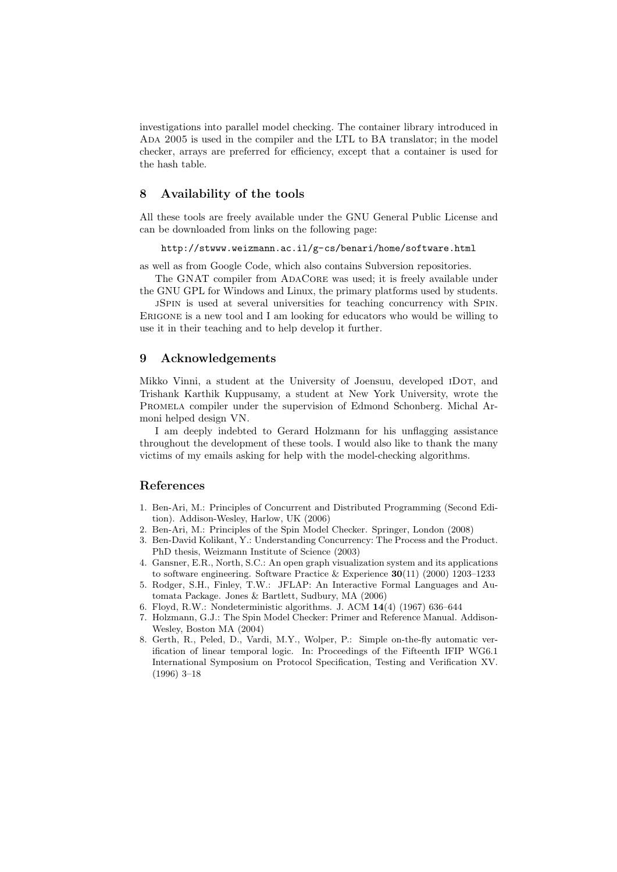investigations into parallel model checking. The container library introduced in Ada 2005 is used in the compiler and the LTL to BA translator; in the model checker, arrays are preferred for efficiency, except that a container is used for the hash table.

#### 8 Availability of the tools

All these tools are freely available under the GNU General Public License and can be downloaded from links on the following page:

http://stwww.weizmann.ac.il/g-cs/benari/home/software.html

as well as from Google Code, which also contains Subversion repositories.

The GNAT compiler from AdaCore was used; it is freely available under the GNU GPL for Windows and Linux, the primary platforms used by students.

jSpin is used at several universities for teaching concurrency with Spin. Erigone is a new tool and I am looking for educators who would be willing to use it in their teaching and to help develop it further.

### 9 Acknowledgements

Mikko Vinni, a student at the University of Joensuu, developed IDOT, and Trishank Karthik Kuppusamy, a student at New York University, wrote the Promela compiler under the supervision of Edmond Schonberg. Michal Armoni helped design VN.

I am deeply indebted to Gerard Holzmann for his unflagging assistance throughout the development of these tools. I would also like to thank the many victims of my emails asking for help with the model-checking algorithms.

#### References

- 1. Ben-Ari, M.: Principles of Concurrent and Distributed Programming (Second Edition). Addison-Wesley, Harlow, UK (2006)
- 2. Ben-Ari, M.: Principles of the Spin Model Checker. Springer, London (2008)
- 3. Ben-David Kolikant, Y.: Understanding Concurrency: The Process and the Product. PhD thesis, Weizmann Institute of Science (2003)
- 4. Gansner, E.R., North, S.C.: An open graph visualization system and its applications to software engineering. Software Practice & Experience  $30(11)$  (2000) 1203–1233
- 5. Rodger, S.H., Finley, T.W.: JFLAP: An Interactive Formal Languages and Automata Package. Jones & Bartlett, Sudbury, MA (2006)
- 6. Floyd, R.W.: Nondeterministic algorithms. J. ACM 14(4) (1967) 636–644
- 7. Holzmann, G.J.: The Spin Model Checker: Primer and Reference Manual. Addison-Wesley, Boston MA (2004)
- 8. Gerth, R., Peled, D., Vardi, M.Y., Wolper, P.: Simple on-the-fly automatic verification of linear temporal logic. In: Proceedings of the Fifteenth IFIP WG6.1 International Symposium on Protocol Specification, Testing and Verification XV. (1996) 3–18